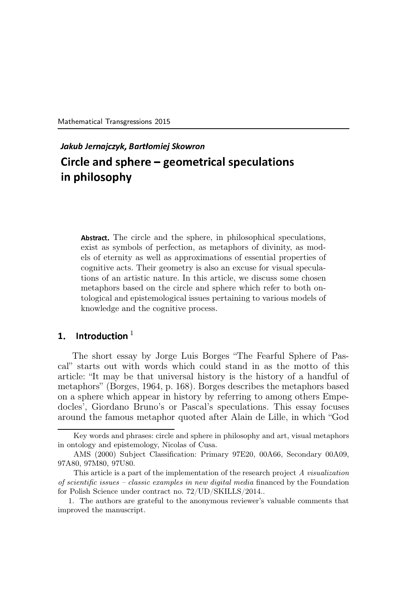Mathematical Transgressions 2015

# Jakub Jernaj
zyk, Bartªomiej Skowron Cir
le and sphere geometri
al spe
ulations in philosophy

Abstra
t. The circle and the sphere, in philosophical speculations, exist as symbols of perfection, as metaphors of divinity, as models of eternity as well as approximations of essential properties of cognitive acts. Their geometry is also an excuse for visual speculations of an artistic nature. In this article, we discuss some chosen metaphors based on the circle and sphere which refer to both ontological and epistemological issues pertaining to various models of knowledge and the cognitive process.

## 1. Introduction  $^1$

The short essay by Jorge Luis Borges "The Fearful Sphere of Pascal" starts out with words which could stand in as the motto of this article: "It may be that universal history is the history of a handful of metaphors" (Borges, 1964, p. 168). Borges describes the metaphors based on a sphere which appear in history by referring to among others Empedocles', Giordano Bruno's or Pascal's speculations. This essay focuses around the famous metaphor quoted after Alain de Lille, in which "God

Key words and phrases: circle and sphere in philosophy and art, visual metaphors in ontology and epistemology, Nicolas of Cusa.

AMS (2000) Subject Classification: Primary 97E20, 00A66, Secondary 00A09, 97A80, 97M80, 97U80.

This article is a part of the implementation of the research project A visualization of scientific issues – classic examples in new digital media financed by the Foundation for Polish Science under contract no. 72/UD/SKILLS/2014..

<sup>1.</sup> The authors are grateful to the anonymous reviewer's valuable comments that improved the manuscript.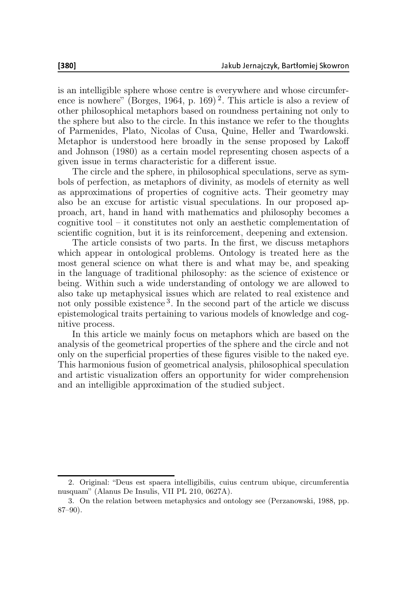is an intelligible sphere whose centre is everywhere and whose circumference is nowhere" (Borges, 1964, p. 169)<sup>2</sup>. This article is also a review of other philosophical metaphors based on roundness pertaining not only to the sphere but also to the circle. In this instance we refer to the thoughts of Parmenides, Plato, Nicolas of Cusa, Quine, Heller and Twardowski. Metaphor is understood here broadly in the sense proposed by Lakoff and Johnson (1980) as a certain model representing chosen aspects of a given issue in terms characteristic for a different issue.

The circle and the sphere, in philosophical speculations, serve as symbols of perfection, as metaphors of divinity, as models of eternity as well as approximations of properties of cognitive acts. Their geometry may also be an excuse for artistic visual speculations. In our proposed approach, art, hand in hand with mathematics and philosophy becomes a cognitive tool – it constitutes not only an aesthetic complementation of scientific cognition, but it is its reinforcement, deepening and extension.

The article consists of two parts. In the first, we discuss metaphors which appear in ontological problems. Ontology is treated here as the most general science on what there is and what may be, and speaking in the language of traditional philosophy: as the science of existence or being. Within such a wide understanding of ontology we are allowed to also take up metaphysical issues which are related to real existence and not only possible existence<sup>3</sup>. In the second part of the article we discuss epistemological traits pertaining to various models of knowledge and cognitive process.

In this article we mainly focus on metaphors which are based on the analysis of the geometrical properties of the sphere and the circle and not only on the superficial properties of these figures visible to the naked eye. This harmonious fusion of geometrical analysis, philosophical speculation and artistic visualization offers an opportunity for wider comprehension and an intelligible approximation of the studied subject.

<sup>2.</sup> Original: "Deus est spaera intelligibilis, cuius centrum ubique, circumferentia nusquam" (Alanus De Insulis, VII PL 210, 0627A).

<sup>3.</sup> On the relation between metaphysics and ontology see (Perzanowski, 1988, pp. 87–90).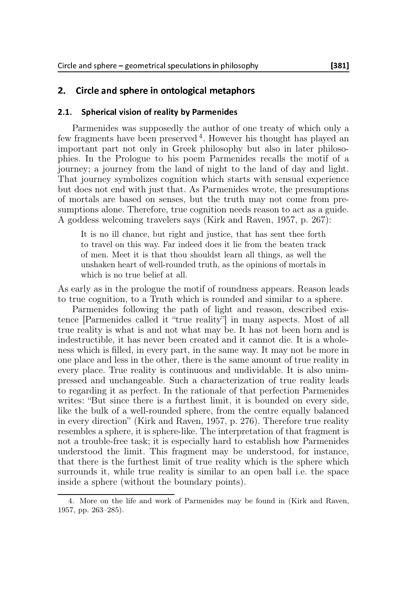### $2.$ Circle and sphere in ontological metaphors

#### $2.1.$ Spherical vision of reality by Parmenides

Parmenides was supposedly the author of one treaty of which only a few fragments have been preserved  $4$ . However his thought has played an important part not only in Greek philosophy but also in later philosophies. In the Prologue to his poem Parmenides recalls the motif of a journey; a journey from the land of night to the land of day and light. That journey symbolizes cognition which starts with sensual experience but does not end with just that. As Parmenides wrote, the presumptions of mortals are based on senses, but the truth may not come from presumptions alone. Therefore, true cognition needs reason to act as a guide. A goddess welcoming travelers says (Kirk and Raven, 1957, p. 267):

It is no ill chance, but right and justice, that has sent thee forth to travel on this way. Far indeed does it lie from the beaten track of men. Meet it is that thou shouldst learn all things, as well the unshaken heart of well-rounded truth, as the opinions of mortals in which is no true belief at all.

As early as in the prologue the motif of roundness appears. Reason leads to true cognition, to a Truth which is rounded and similar to a sphere.

Parmenides following the path of light and reason, described existence [Parmenides called it "true reality"] in many aspects. Most of all true reality is what is and not what may be. It has not been born and is indestructible, it has never been created and it cannot die. It is a wholeness which is filled, in every part, in the same way. It may not be more in one place and less in the other, there is the same amount of true reality in every place. True reality is continuous and undividable. It is also unimpressed and unchangeable. Such a characterization of true reality leads to regarding it as perfect. In the rationale of that perfection Parmenides writes: "But since there is a furthest limit, it is bounded on every side, like the bulk of a well-rounded sphere, from the centre equally balanced in every direction" (Kirk and Raven, 1957, p. 276). Therefore true reality resembles a sphere, it is sphere-like. The interpretation of that fragment is not a trouble-free task; it is especially hard to establish how Parmenides understood the limit. This fragment may be understood, for instance, that there is the furthest limit of true reality which is the sphere which surrounds it, while true reality is similar to an open ball i.e. the space inside a sphere (without the boundary points).

<sup>4.</sup> More on the life and work of Parmenides may be found in (Kirk and Raven, 1957, pp. 263–285).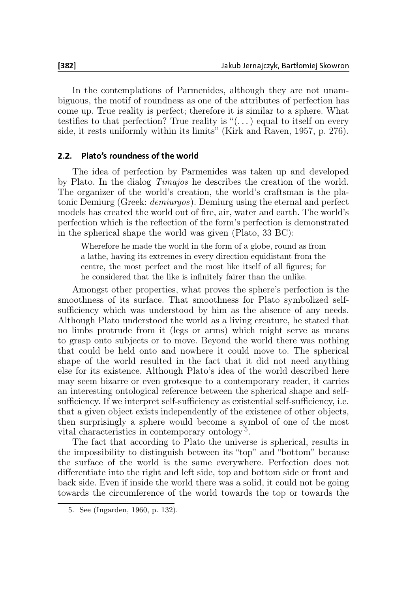In the contemplations of Parmenides, although they are not unambiguous, the motif of roundness as one of the attributes of perfection has come up. True reality is perfect; therefore it is similar to a sphere. What testifies to that perfection? True reality is " $(\ldots)$  equal to itself on every side, it rests uniformly within its limits" (Kirk and Raven, 1957, p. 276).

### 2.2. Plato's roundness of the world

The idea of perfection by Parmenides was taken up and developed by Plato. In the dialog Timajos he describes the creation of the world. The organizer of the world's creation, the world's craftsman is the platonic Demiurg (Greek: demiurgos). Demiurg using the eternal and perfect models has created the world out of fire, air, water and earth. The world's perfection which is the reflection of the form's perfection is demonstrated in the spherical shape the world was given (Plato, 33 BC):

Wherefore he made the world in the form of a globe, round as from a lathe, having its extremes in every direction equidistant from the centre, the most perfect and the most like itself of all figures; for he considered that the like is infinitely fairer than the unlike.

Amongst other properties, what proves the sphere's perfection is the smoothness of its surface. That smoothness for Plato symbolized selfsufficiency which was understood by him as the absence of any needs. Although Plato understood the world as a living creature, he stated that no limbs protrude from it (legs or arms) which might serve as means to grasp onto subjects or to move. Beyond the world there was nothing that could be held onto and nowhere it could move to. The spherical shape of the world resulted in the fact that it did not need anything else for its existence. Although Plato's idea of the world described here may seem bizarre or even grotesque to a contemporary reader, it carries an interesting ontological reference between the spherical shape and selfsufficiency. If we interpret self-sufficiency as existential self-sufficiency, i.e. that a given object exists independently of the existence of other objects, then surprisingly a sphere would become a symbol of one of the most vital characteristics in contemporary ontology<sup>5</sup>.

The fact that according to Plato the universe is spherical, results in the impossibility to distinguish between its "top" and "bottom" because the surface of the world is the same everywhere. Perfection does not differentiate into the right and left side, top and bottom side or front and back side. Even if inside the world there was a solid, it could not be going towards the circumference of the world towards the top or towards the

<sup>5.</sup> See (Ingarden, 1960, p. 132).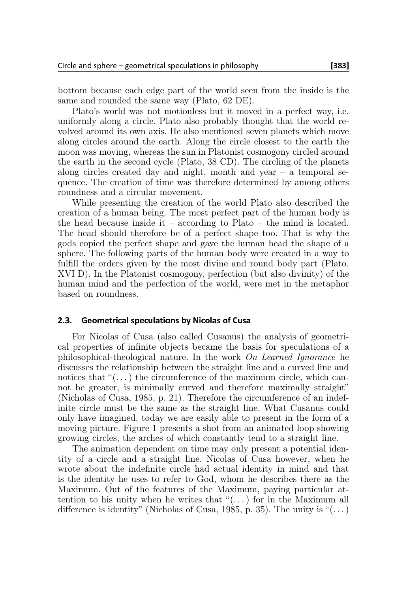bottom because each edge part of the world seen from the inside is the same and rounded the same way (Plato, 62 DE).

Plato's world was not motionless but it moved in a perfect way, i.e. uniformly along a circle. Plato also probably thought that the world revolved around its own axis. He also mentioned seven planets which move along circles around the earth. Along the circle closest to the earth the moon was moving, whereas the sun in Platonist cosmogony circled around the earth in the second cycle (Plato, 38 CD). The circling of the planets along circles created day and night, month and year  $-$  a temporal sequence. The creation of time was therefore determined by among others roundness and a circular movement.

While presenting the creation of the world Plato also described the creation of a human being. The most perfect part of the human body is the head because inside it – according to Plato – the mind is located. The head should therefore be of a perfect shape too. That is why the gods copied the perfect shape and gave the human head the shape of a sphere. The following parts of the human body were created in a way to fulfill the orders given by the most divine and round body part (Plato, XVI D). In the Platonist cosmogony, perfection (but also divinity) of the human mind and the perfection of the world, were met in the metaphor based on roundness.

### 2.3. Geometrical speculations by Nicolas of Cusa

For Nicolas of Cusa (also called Cusanus) the analysis of geometrical properties of infinite objects became the basis for speculations of a philosophical-theological nature. In the work On Learned Ignorance he discusses the relationship between the straight line and a curved line and notices that " $(\ldots)$  the circumference of the maximum circle, which cannot be greater, is minimally curved and therefore maximally straight" (Nicholas of Cusa, 1985, p. 21). Therefore the circumference of an indefinite circle must be the same as the straight line. What Cusanus could only have imagined, today we are easily able to present in the form of a moving picture. Figure 1 presents a shot from an animated loop showing growing circles, the arches of which constantly tend to a straight line.

The animation dependent on time may only present a potential identity of a circle and a straight line. Nicolas of Cusa however, when he wrote about the indefinite circle had actual identity in mind and that is the identity he uses to refer to God, whom he describes there as the Maximum. Out of the features of the Maximum, paying particular attention to his unity when he writes that " $(\ldots)$  for in the Maximum all difference is identity" (Nicholas of Cusa, 1985, p. 35). The unity is " $(\dots)$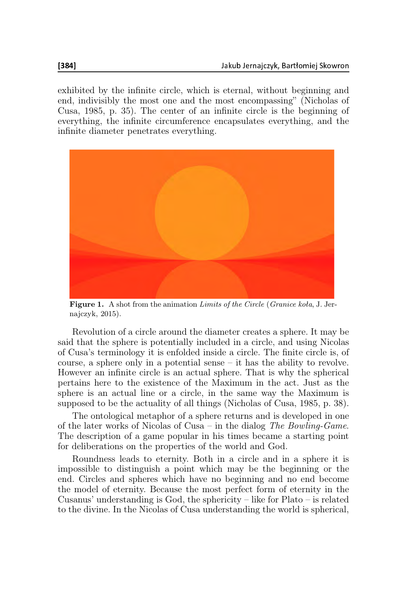exhibited by the infinite circle, which is eternal, without beginning and end, indivisibly the most one and the most encompassing" (Nicholas of Cusa, 1985, p. 35). The center of an infinite circle is the beginning of everything, the infinite circumference encapsulates everything, and the infinite diameter penetrates everything.



Figure 1. A shot from the animation Limits of the Circle (Granice koła, J. Jernajczyk, 2015).

Revolution of a circle around the diameter creates a sphere. It may be said that the sphere is potentially included in a circle, and using Nicolas of Cusa's terminology it is enfolded inside a circle. The finite circle is, of course, a sphere only in a potential sense – it has the ability to revolve. However an infinite circle is an actual sphere. That is why the spherical pertains here to the existence of the Maximum in the act. Just as the sphere is an actual line or a circle, in the same way the Maximum is supposed to be the actuality of all things (Nicholas of Cusa, 1985, p. 38).

The ontological metaphor of a sphere returns and is developed in one of the later works of Nicolas of Cusa – in the dialog The Bowling-Game. The description of a game popular in his times became a starting point for deliberations on the properties of the world and God.

Roundness leads to eternity. Both in a circle and in a sphere it is impossible to distinguish a point which may be the beginning or the end. Circles and spheres which have no beginning and no end become the model of eternity. Because the most perfect form of eternity in the Cusanus' understanding is God, the sphericity – like for Plato – is related to the divine. In the Nicolas of Cusa understanding the world is spherical,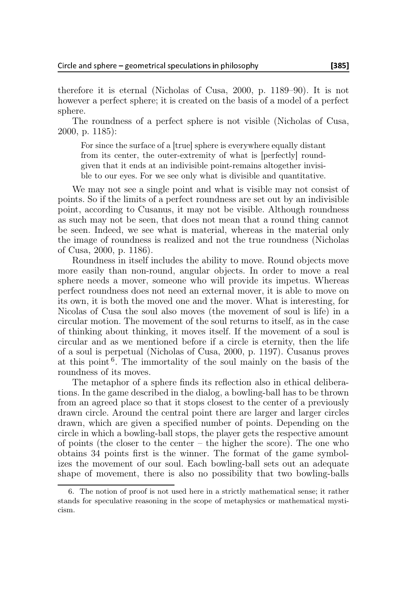therefore it is eternal (Nicholas of Cusa, 2000, p. 1189–90). It is not however a perfect sphere; it is created on the basis of a model of a perfect sphere.

The roundness of a perfect sphere is not visible (Nicholas of Cusa, 2000, p. 1185):

For since the surface of a [true] sphere is everywhere equally distant from its center, the outer-extremity of what is [perfectly] roundgiven that it ends at an indivisible point-remains altogether invisible to our eyes. For we see only what is divisible and quantitative.

We may not see a single point and what is visible may not consist of points. So if the limits of a perfect roundness are set out by an indivisible point, according to Cusanus, it may not be visible. Although roundness as such may not be seen, that does not mean that a round thing cannot be seen. Indeed, we see what is material, whereas in the material only the image of roundness is realized and not the true roundness (Nicholas of Cusa, 2000, p. 1186).

Roundness in itself includes the ability to move. Round objects move more easily than non-round, angular objects. In order to move a real sphere needs a mover, someone who will provide its impetus. Whereas perfect roundness does not need an external mover, it is able to move on its own, it is both the moved one and the mover. What is interesting, for Nicolas of Cusa the soul also moves (the movement of soul is life) in a circular motion. The movement of the soul returns to itself, as in the case of thinking about thinking, it moves itself. If the movement of a soul is circular and as we mentioned before if a circle is eternity, then the life of a soul is perpetual (Nicholas of Cusa, 2000, p. 1197). Cusanus proves at this point  $6$ . The immortality of the soul mainly on the basis of the roundness of its moves.

The metaphor of a sphere finds its reflection also in ethical deliberations. In the game described in the dialog, a bowling-ball has to be thrown from an agreed place so that it stops closest to the center of a previously drawn circle. Around the central point there are larger and larger circles drawn, which are given a specified number of points. Depending on the circle in which a bowling-ball stops, the player gets the respective amount of points (the closer to the center – the higher the score). The one who obtains 34 points first is the winner. The format of the game symbolizes the movement of our soul. Each bowling-ball sets out an adequate shape of movement, there is also no possibility that two bowling-balls

<sup>6.</sup> The notion of proof is not used here in a strictly mathematical sense; it rather stands for speculative reasoning in the scope of metaphysics or mathematical mysticism.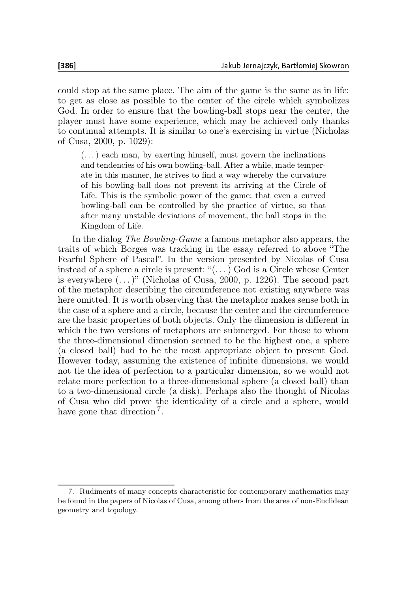could stop at the same place. The aim of the game is the same as in life: to get as close as possible to the center of the circle which symbolizes God. In order to ensure that the bowling-ball stops near the center, the player must have some experience, which may be achieved only thanks to continual attempts. It is similar to one's exercising in virtue (Nicholas of Cusa, 2000, p. 1029):

 $(\dots)$  each man, by exerting himself, must govern the inclinations and tendencies of his own bowling-ball. After a while, made temperate in this manner, he strives to find a way whereby the curvature of his bowling-ball does not prevent its arriving at the Circle of Life. This is the symbolic power of the game: that even a curved bowling-ball can be controlled by the practice of virtue, so that after many unstable deviations of movement, the ball stops in the Kingdom of Life.

In the dialog The Bowling-Game a famous metaphor also appears, the traits of which Borges was tracking in the essay referred to above "The Fearful Sphere of Pascal". In the version presented by Nicolas of Cusa instead of a sphere a circle is present: "(. . .) God is a Circle whose Center is everywhere  $(\dots)$ " (Nicholas of Cusa, 2000, p. 1226). The second part of the metaphor describing the circumference not existing anywhere was here omitted. It is worth observing that the metaphor makes sense both in the case of a sphere and a circle, because the center and the circumference are the basic properties of both objects. Only the dimension is different in which the two versions of metaphors are submerged. For those to whom the three-dimensional dimension seemed to be the highest one, a sphere (a closed ball) had to be the most appropriate object to present God. However today, assuming the existence of infinite dimensions, we would not tie the idea of perfection to a particular dimension, so we would not relate more perfection to a three-dimensional sphere (a closed ball) than to a two-dimensional circle (a disk). Perhaps also the thought of Nicolas of Cusa who did prove the identicality of a circle and a sphere, would have gone that direction<sup>7</sup>.

<sup>7.</sup> Rudiments of many concepts characteristic for contemporary mathematics may be found in the papers of Nicolas of Cusa, among others from the area of non-Euclidean geometry and topology.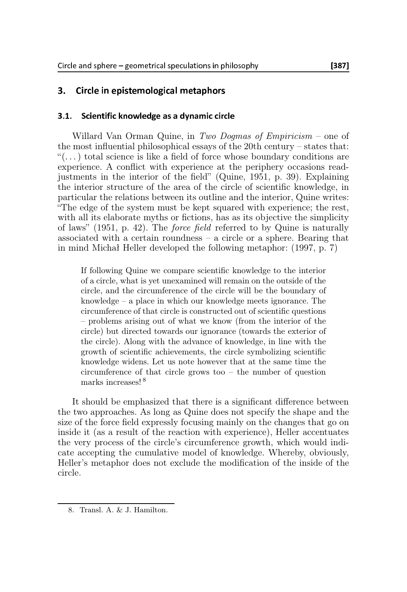#### 3. Circle in epistemological metaphors

#### Scientific knowledge as a dynamic circle  $3.1.$ 3.1. S
ientifi knowledge as <sup>a</sup> dynami ir
le

Willard Van Orman Quine, in Two Dogmas of Empiricism – one of the most influential philosophical essays of the 20th century – states that:  $\mathcal{L}(\ldots)$  total science is like a field of force whose boundary conditions are experience. A conflict with experience at the periphery occasions readjustments in the interior of the field" (Quine, 1951, p. 39). Explaining the interior structure of the area of the circle of scientific knowledge, in particular the relations between its outline and the interior, Quine writes: "The edge of the system must be kept squared with experience; the rest, with all its elaborate myths or fictions, has as its objective the simplicity of laws" (1951, p. 42). The force field referred to by Quine is naturally associated with a certain roundness – a circle or a sphere. Bearing that in mind Michał Heller developed the following metaphor: (1997, p. 7)

If following Quine we compare scientific knowledge to the interior of a circle, what is yet unexamined will remain on the outside of the circle, and the circumference of the circle will be the boundary of knowledge – a place in which our knowledge meets ignorance. The circumference of that circle is constructed out of scientific questions – problems arising out of what we know (from the interior of the circle) but directed towards our ignorance (towards the exterior of the circle). Along with the advance of knowledge, in line with the growth of scientific achievements, the circle symbolizing scientific knowledge widens. Let us note however that at the same time the circumference of that circle grows too – the number of question marks increases! <sup>8</sup>

It should be emphasized that there is a significant difference between the two approaches. As long as Quine does not specify the shape and the size of the force field expressly focusing mainly on the changes that go on inside it (as a result of the reaction with experience), Heller accentuates the very process of the circle's circumference growth, which would indicate accepting the cumulative model of knowledge. Whereby, obviously, Heller's metaphor does not exclude the modification of the inside of the circle.

<sup>8.</sup> Transl. A. & J. Hamilton.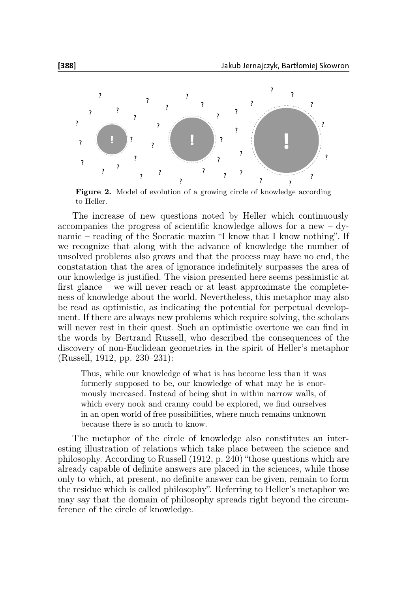

Figure 2. Model of evolution of a growing circle of knowledge according to Heller.

The increase of new questions noted by Heller which continuously accompanies the progress of scientific knowledge allows for a new – dynamic – reading of the Socratic maxim "I know that I know nothing". If we recognize that along with the advance of knowledge the number of unsolved problems also grows and that the process may have no end, the constatation that the area of ignorance indefinitely surpasses the area of our knowledge is justified. The vision presented here seems pessimistic at first glance – we will never reach or at least approximate the completeness of knowledge about the world. Nevertheless, this metaphor may also be read as optimistic, as indicating the potential for perpetual development. If there are always new problems which require solving, the scholars will never rest in their quest. Such an optimistic overtone we can find in the words by Bertrand Russell, who described the consequences of the discovery of non-Euclidean geometries in the spirit of Heller's metaphor (Russell, 1912, pp. 230–231):

Thus, while our knowledge of what is has become less than it was formerly supposed to be, our knowledge of what may be is enormously increased. Instead of being shut in within narrow walls, of which every nook and cranny could be explored, we find ourselves in an open world of free possibilities, where much remains unknown because there is so much to know.

The metaphor of the circle of knowledge also constitutes an interesting illustration of relations which take place between the science and philosophy. According to Russell (1912, p. 240) "those questions which are already capable of definite answers are placed in the sciences, while those only to which, at present, no definite answer can be given, remain to form the residue which is called philosophy". Referring to Heller's metaphor we may say that the domain of philosophy spreads right beyond the circumference of the circle of knowledge.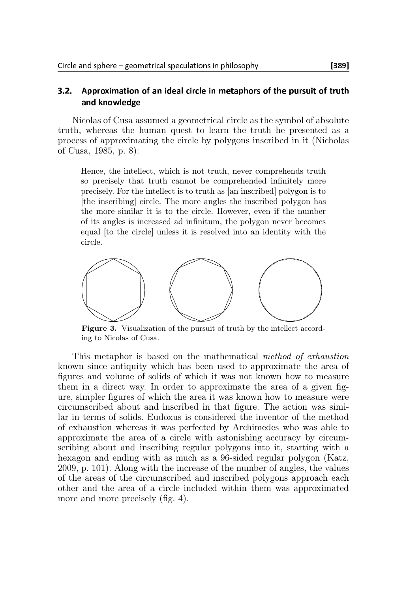#### $3.2.$ Approximation of an ideal circle in metaphors of the pursuit of truth and knowledge and knowledge

Nicolas of Cusa assumed a geometrical circle as the symbol of absolute truth, whereas the human quest to learn the truth he presented as a process of approximating the circle by polygons inscribed in it (Nicholas of Cusa, 1985, p. 8):

Hence, the intellect, which is not truth, never comprehends truth so precisely that truth cannot be comprehended infinitely more precisely. For the intellect is to truth as [an inscribed] polygon is to [the inscribing] circle. The more angles the inscribed polygon has the more similar it is to the circle. However, even if the number of its angles is increased ad infinitum, the polygon never becomes equal [to the circle] unless it is resolved into an identity with the circle.



Figure 3. Visualization of the pursuit of truth by the intellect according to Nicolas of Cusa.

This metaphor is based on the mathematical method of exhaustion known since antiquity which has been used to approximate the area of figures and volume of solids of which it was not known how to measure them in a direct way. In order to approximate the area of a given figure, simpler figures of which the area it was known how to measure were circumscribed about and inscribed in that figure. The action was similar in terms of solids. Eudoxus is considered the inventor of the method of exhaustion whereas it was perfected by Archimedes who was able to approximate the area of a circle with astonishing accuracy by circumscribing about and inscribing regular polygons into it, starting with a hexagon and ending with as much as a 96-sided regular polygon (Katz, 2009, p. 101). Along with the increase of the number of angles, the values of the areas of the circumscribed and inscribed polygons approach each other and the area of a circle included within them was approximated more and more precisely (fig. 4).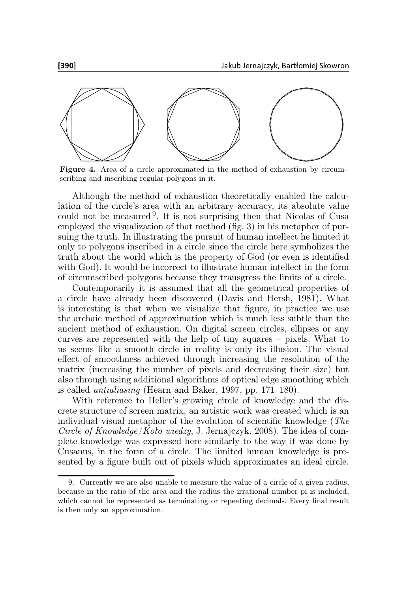

Figure 4. Area of a circle approximated in the method of exhaustion by circumscribing and inscribing regular polygons in it.

Although the method of exhaustion theoretically enabled the calculation of the circle's area with an arbitrary accuracy, its absolute value could not be measured <sup>9</sup> . It is not surprising then that Nicolas of Cusa employed the visualization of that method (fig. 3) in his metaphor of pursuing the truth. In illustrating the pursuit of human intellect he limited it only to polygons inscribed in a circle since the circle here symbolizes the truth about the world which is the property of God (or even is identified with God). It would be incorrect to illustrate human intellect in the form of circumscribed polygons because they transgress the limits of a circle.

Contemporarily it is assumed that all the geometrical properties of a circle have already been discovered (Davis and Hersh, 1981). What is interesting is that when we visualize that figure, in practice we use the archaic method of approximation which is much less subtle than the ancient method of exhaustion. On digital screen circles, ellipses or any curves are represented with the help of tiny squares – pixels. What to us seems like a smooth circle in reality is only its illusion. The visual effect of smoothness achieved through increasing the resolution of the matrix (increasing the number of pixels and decreasing their size) but also through using additional algorithms of optical edge smoothing which is called antialiasing (Hearn and Baker, 1997, pp. 171–180).

With reference to Heller's growing circle of knowledge and the discrete structure of screen matrix, an artistic work was created which is an individual visual metaphor of the evolution of scientific knowledge (The Circle of Knowledge/Koło wiedzy, J. Jernajczyk, 2008). The idea of complete knowledge was expressed here similarly to the way it was done by Cusanus, in the form of a circle. The limited human knowledge is presented by a figure built out of pixels which approximates an ideal circle.

<sup>9.</sup> Currently we are also unable to measure the value of a circle of a given radius, because in the ratio of the area and the radius the irrational number pi is included, which cannot be represented as terminating or repeating decimals. Every final result is then only an approximation.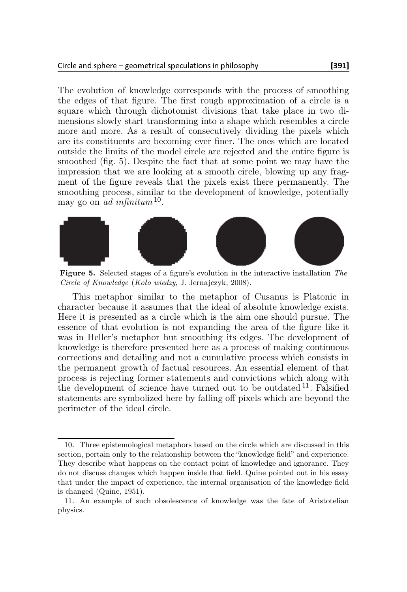The evolution of knowledge corresponds with the process of smoothing the edges of that figure. The first rough approximation of a circle is a square which through dichotomist divisions that take place in two dimensions slowly start transforming into a shape which resembles a circle more and more. As a result of consecutively dividing the pixels which are its constituents are becoming ever finer. The ones which are located outside the limits of the model circle are rejected and the entire figure is smoothed (fig. 5). Despite the fact that at some point we may have the impression that we are looking at a smooth circle, blowing up any fragment of the figure reveals that the pixels exist there permanently. The smoothing process, similar to the development of knowledge, potentially may go on ad infinitum  $10$ .



Figure 5. Selected stages of a figure's evolution in the interactive installation The Circle of Knowledge (Koło wiedzy, J. Jernajczyk, 2008).

This metaphor similar to the metaphor of Cusanus is Platonic in character because it assumes that the ideal of absolute knowledge exists. Here it is presented as a circle which is the aim one should pursue. The essence of that evolution is not expanding the area of the figure like it was in Heller's metaphor but smoothing its edges. The development of knowledge is therefore presented here as a process of making continuous corrections and detailing and not a cumulative process which consists in the permanent growth of factual resources. An essential element of that process is rejecting former statements and convictions which along with the development of science have turned out to be outdated  $11$ . Falsified statements are symbolized here by falling off pixels which are beyond the perimeter of the ideal circle.

<sup>10.</sup> Three epistemological metaphors based on the circle which are discussed in this section, pertain only to the relationship between the "knowledge field" and experience. They describe what happens on the contact point of knowledge and ignorance. They do not discuss changes which happen inside that field. Quine pointed out in his essay that under the impact of experience, the internal organisation of the knowledge field is changed (Quine, 1951).

<sup>11.</sup> An example of such obsolescence of knowledge was the fate of Aristotelian physics.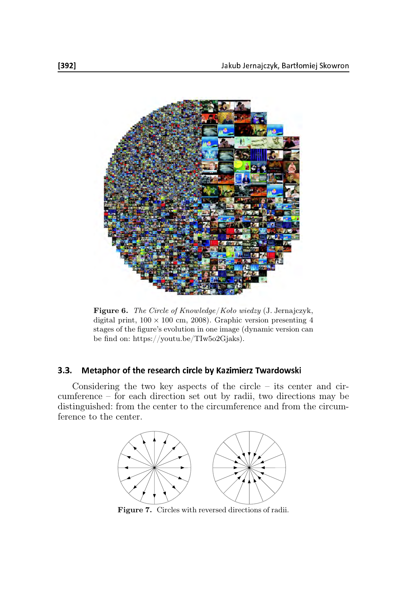

Figure 6. The Circle of Knowledge/Koło wiedzy (J. Jernajczyk, digital print,  $100 \times 100$  cm, 2008). Graphic version presenting 4 stages of the figure's evolution in one image (dynamic version can be find on: https://youtu.be/TIw5o2Gjaks).

### 3.3. Metaphor of the research circle by Kazimierz Twardowski

Considering the two key aspects of the circle – its center and circumference – for each direction set out by radii, two directions may be distinguished: from the center to the circumference and from the circumference to the center.



Figure 7. Circles with reversed directions of radii.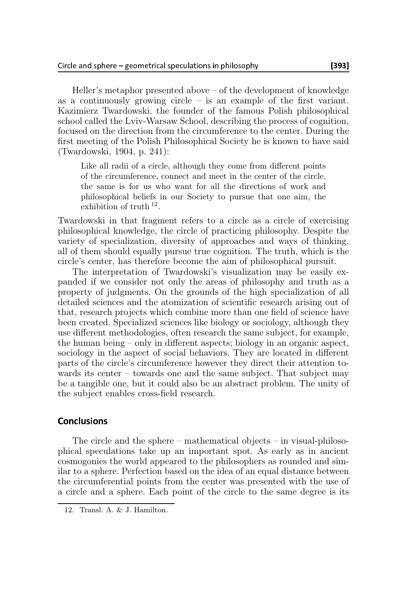Heller's metaphor presented above – of the development of knowledge as a continuously growing circle  $-$  is an example of the first variant. Kazimierz Twardowski, the founder of the famous Polish philosophical school called the Lviv-Warsaw School, describing the process of cognition, focused on the direction from the circumference to the center. During the first meeting of the Polish Philosophical Society he is known to have said (Twardowski, 1904, p. 241):

Like all radii of a circle, although they come from different points of the circumference, connect and meet in the center of the circle, the same is for us who want for all the directions of work and philosophical beliefs in our Society to pursue that one aim, the exhibition of truth <sup>12</sup>.

Twardowski in that fragment refers to a circle as a circle of exercising philosophical knowledge, the circle of practicing philosophy. Despite the variety of specialization, diversity of approaches and ways of thinking, all of them should equally pursue true cognition. The truth, which is the circle's center, has therefore become the aim of philosophical pursuit.

The interpretation of Twardowski's visualization may be easily expanded if we consider not only the areas of philosophy and truth as a property of judgments. On the grounds of the high specialization of all detailed sciences and the atomization of scientific research arising out of that, research projects which combine more than one field of science have been created. Specialized sciences like biology or sociology, although they use different methodologies, often research the same subject, for example, the human being – only in different aspects; biology in an organic aspect, sociology in the aspect of social behaviors. They are located in different parts of the circle's circumference however they direct their attention towards its center – towards one and the same subject. That subject may be a tangible one, but it could also be an abstract problem. The unity of the subject enables cross-field research.

### Conclusions

The circle and the sphere – mathematical objects – in visual-philosophical speculations take up an important spot. As early as in ancient cosmogonies the world appeared to the philosophers as rounded and similar to a sphere. Perfection based on the idea of an equal distance between the circumferential points from the center was presented with the use of a circle and a sphere. Each point of the circle to the same degree is its

<sup>12.</sup> Transl. A. & J. Hamilton.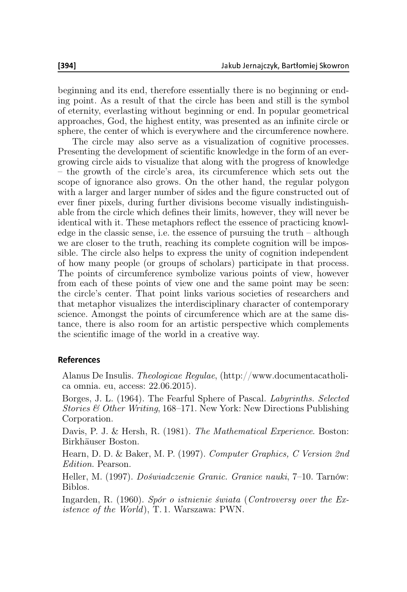beginning and its end, therefore essentially there is no beginning or ending point. As a result of that the circle has been and still is the symbol of eternity, everlasting without beginning or end. In popular geometrical approaches, God, the highest entity, was presented as an infinite circle or sphere, the center of which is everywhere and the circumference nowhere.

The circle may also serve as a visualization of cognitive processes. Presenting the development of scientific knowledge in the form of an evergrowing circle aids to visualize that along with the progress of knowledge – the growth of the circle's area, its circumference which sets out the scope of ignorance also grows. On the other hand, the regular polygon with a larger and larger number of sides and the figure constructed out of ever finer pixels, during further divisions become visually indistinguishable from the circle which defines their limits, however, they will never be identical with it. These metaphors reflect the essence of practicing knowledge in the classic sense, i.e. the essence of pursuing the truth – although we are closer to the truth, reaching its complete cognition will be impossible. The circle also helps to express the unity of cognition independent of how many people (or groups of scholars) participate in that process. The points of circumference symbolize various points of view, however from each of these points of view one and the same point may be seen: the circle's center. That point links various societies of researchers and that metaphor visualizes the interdisciplinary character of contemporary science. Amongst the points of circumference which are at the same distance, there is also room for an artistic perspective which complements the scientific image of the world in a creative way.

### **References**

Alanus De Insulis. Theologicae Regulae, (http://www.documentacatholica omnia. eu, access: 22.06.2015).

Borges, J. L. (1964). The Fearful Sphere of Pascal. Labyrinths. Selected *Stories & Other Writing*, 168–171. New York: New Directions Publishing Corporation.

Davis, P. J. & Hersh, R. (1981). The Mathematical Experience. Boston: Birkhäuser Boston.

Hearn, D. D. & Baker, M. P. (1997). Computer Graphics, C Version 2nd Edition. Pearson.

Heller, M. (1997). Doświadczenie Granic. Granice nauki, 7–10. Tarnów: Biblos.

Ingarden, R. (1960). Spór o istnienie świata (Controversy over the Existence of the World), T. 1. Warszawa: PWN.